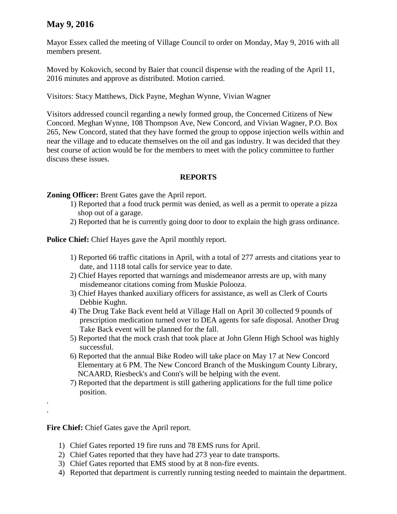## **May 9, 2016**

Mayor Essex called the meeting of Village Council to order on Monday, May 9, 2016 with all members present.

Moved by Kokovich, second by Baier that council dispense with the reading of the April 11, 2016 minutes and approve as distributed. Motion carried.

Visitors: Stacy Matthews, Dick Payne, Meghan Wynne, Vivian Wagner

Visitors addressed council regarding a newly formed group, the Concerned Citizens of New Concord. Meghan Wynne, 108 Thompson Ave, New Concord, and Vivian Wagner, P.O. Box 265, New Concord, stated that they have formed the group to oppose injection wells within and near the village and to educate themselves on the oil and gas industry. It was decided that they best course of action would be for the members to meet with the policy committee to further discuss these issues.

## **REPORTS**

**Zoning Officer:** Brent Gates gave the April report.

- 1) Reported that a food truck permit was denied, as well as a permit to operate a pizza shop out of a garage.
- 2) Reported that he is currently going door to door to explain the high grass ordinance.

**Police Chief:** Chief Hayes gave the April monthly report.

- 1) Reported 66 traffic citations in April, with a total of 277 arrests and citations year to date, and 1118 total calls for service year to date.
- 2) Chief Hayes reported that warnings and misdemeanor arrests are up, with many misdemeanor citations coming from Muskie Polooza.
- 3) Chief Hayes thanked auxiliary officers for assistance, as well as Clerk of Courts Debbie Kughn.
- 4) The Drug Take Back event held at Village Hall on April 30 collected 9 pounds of prescription medication turned over to DEA agents for safe disposal. Another Drug Take Back event will be planned for the fall.
- 5) Reported that the mock crash that took place at John Glenn High School was highly successful.
- 6) Reported that the annual Bike Rodeo will take place on May 17 at New Concord Elementary at 6 PM. The New Concord Branch of the Muskingum County Library, NCAARD, Riesbeck's and Conn's will be helping with the event.
- 7) Reported that the department is still gathering applications for the full time police position.

**Fire Chief:** Chief Gates gave the April report.

. .

- 1) Chief Gates reported 19 fire runs and 78 EMS runs for April.
- 2) Chief Gates reported that they have had 273 year to date transports.
- 3) Chief Gates reported that EMS stood by at 8 non-fire events.
- 4) Reported that department is currently running testing needed to maintain the department.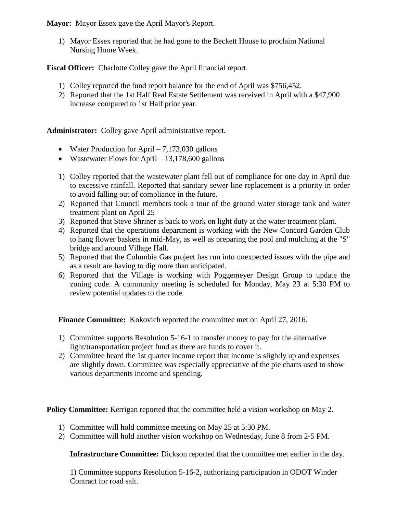**Mayor:** Mayor Essex gave the April Mayor's Report.

1) Mayor Essex reported that he had gone to the Beckett House to proclaim National Nursing Home Week.

**Fiscal Officer:** Charlotte Colley gave the April financial report.

- 1) Colley reported the fund report balance for the end of April was \$756,452.
- 2) Reported that the 1st Half Real Estate Settlement was received in April with a \$47,900 increase compared to 1st Half prior year.

**Administrator:** Colley gave April administrative report.

- Water Production for April  $-7,173,030$  gallons
- Wastewater Flows for April  $13,178,600$  gallons
- 1) Colley reported that the wastewater plant fell out of compliance for one day in April due to excessive rainfall. Reported that sanitary sewer line replacement is a priority in order to avoid falling out of compliance in the future.
- 2) Reported that Council members took a tour of the ground water storage tank and water treatment plant on April 25
- 3) Reported that Steve Shriner is back to work on light duty at the water treatment plant.
- 4) Reported that the operations department is working with the New Concord Garden Club to hang flower baskets in mid-May, as well as preparing the pool and mulching at the "S" bridge and around Village Hall.
- 5) Reported that the Columbia Gas project has run into unexpected issues with the pipe and as a result are having to dig more than anticipated.
- 6) Reported that the Village is working with Poggemeyer Design Group to update the zoning code. A community meeting is scheduled for Monday, May 23 at 5:30 PM to review potential updates to the code.

**Finance Committee:** Kokovich reported the committee met on April 27, 2016.

- 1) Committee supports Resolution 5-16-1 to transfer money to pay for the alternative light/transportation project fund as there are funds to cover it.
- 2) Committee heard the 1st quarter income report that income is slightly up and expenses are slightly down. Committee was especially appreciative of the pie charts used to show various departments income and spending.

**Policy Committee:** Kerrigan reported that the committee held a vision workshop on May 2.

- 1) Committee will hold committee meeting on May 25 at 5:30 PM.
- 2) Committee will hold another vision workshop on Wednesday, June 8 from 2-5 PM.

**Infrastructure Committee:** Dickson reported that the committee met earlier in the day.

1) Committee supports Resolution 5-16-2, authorizing participation in ODOT Winder Contract for road salt.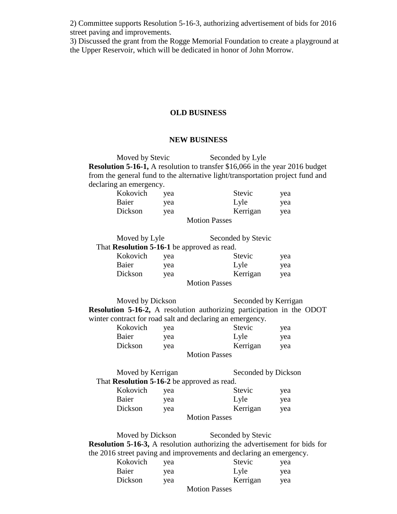2) Committee supports Resolution 5-16-3, authorizing advertisement of bids for 2016 street paving and improvements.

3) Discussed the grant from the Rogge Memorial Foundation to create a playground at the Upper Reservoir, which will be dedicated in honor of John Morrow.

## **OLD BUSINESS**

## **NEW BUSINESS**

Moved by Stevic Seconded by Lyle **Resolution 5-16-1,** A resolution to transfer \$16,066 in the year 2016 budget from the general fund to the alternative light/transportation project fund and declaring an emergency.

| Kokovich | vea | Stevic        | yea |
|----------|-----|---------------|-----|
| Baier    | vea | Lyle          | yea |
| Dickson  | vea | Kerrigan      | yea |
|          |     | Motion Decess |     |

Motion Passes

| Moved by Lyle                                      |     | Seconded by Stevic   |     |
|----------------------------------------------------|-----|----------------------|-----|
| That <b>Resolution 5-16-1</b> be approved as read. |     |                      |     |
| Kokovich                                           | vea | Stevic               | yea |
| Baier                                              | yea | Lyle                 | yea |
| Dickson                                            | yea | Kerrigan             | yea |
|                                                    |     | <b>Motion Passes</b> |     |

Moved by Dickson Seconded by Kerrigan **Resolution 5-16-2,** A resolution authorizing participation in the ODOT winter contract for road salt and declaring an emergency.

| Kokovich             | yea | Stevic   | yea |  |
|----------------------|-----|----------|-----|--|
| Baier                | vea | Lyle     | yea |  |
| Dickson              | yea | Kerrigan | yea |  |
| <b>Motion Passes</b> |     |          |     |  |

| Moved by Kerrigan                           |     |            | Seconded by Dickson |  |
|---------------------------------------------|-----|------------|---------------------|--|
| That Resolution 5-16-2 be approved as read. |     |            |                     |  |
| Kokovich                                    | yea | Stevic     | yea                 |  |
| Baier                                       | yea | Lyle       | yea                 |  |
| Dickson                                     | yea | Kerrigan   | yea                 |  |
|                                             |     | <b>B</b> F |                     |  |

Motion Passes

Moved by Dickson Seconded by Stevic **Resolution 5-16-3,** A resolution authorizing the advertisement for bids for the 2016 street paving and improvements and declaring an emergency.

| Kokovich | vea |   | Stevic   | yea |
|----------|-----|---|----------|-----|
| Baier    | vea |   | Lyle     | yea |
| Dickson  | vea |   | Kerrigan | yea |
|          |     | . |          |     |

Motion Passes